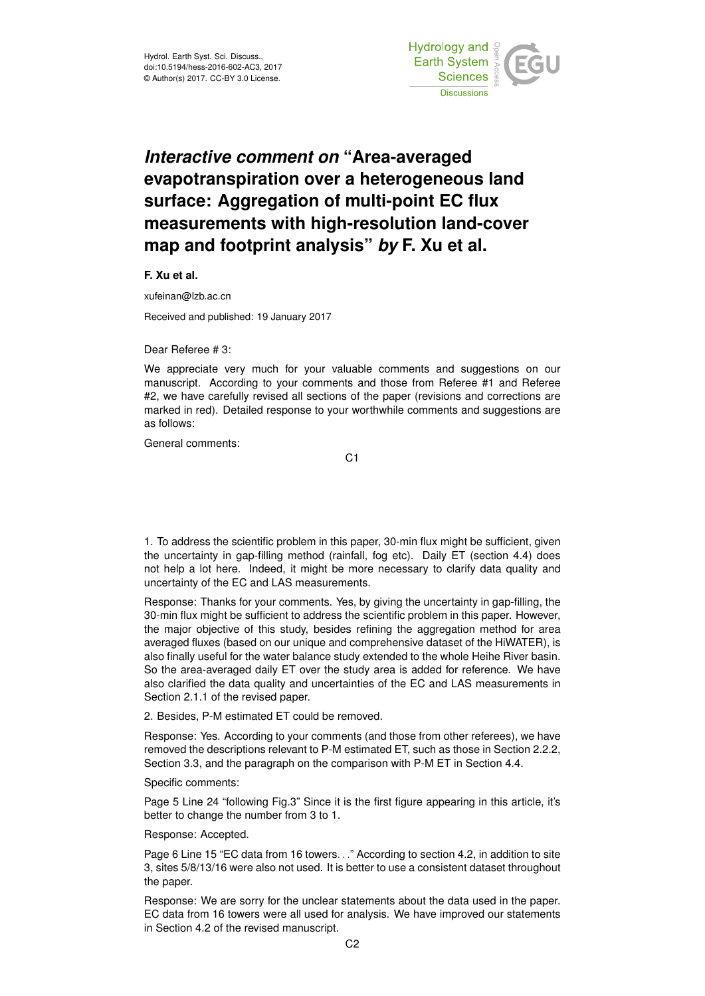

## *Interactive comment on* **"Area-averaged evapotranspiration over a heterogeneous land surface: Aggregation of multi-point EC flux measurements with high-resolution land-cover map and footprint analysis"** *by* **F. Xu et al.**

**F. Xu et al.**

xufeinan@lzb.ac.cn

Received and published: 19 January 2017

Dear Referee # 3:

We appreciate very much for your valuable comments and suggestions on our manuscript. According to your comments and those from Referee #1 and Referee #2, we have carefully revised all sections of the paper (revisions and corrections are marked in red). Detailed response to your worthwhile comments and suggestions are as follows:

General comments:

C1

1. To address the scientific problem in this paper, 30-min flux might be sufficient, given the uncertainty in gap-filling method (rainfall, fog etc). Daily ET (section 4.4) does not help a lot here. Indeed, it might be more necessary to clarify data quality and uncertainty of the EC and LAS measurements.

Response: Thanks for your comments. Yes, by giving the uncertainty in gap-filling, the 30-min flux might be sufficient to address the scientific problem in this paper. However, the major objective of this study, besides refining the aggregation method for area averaged fluxes (based on our unique and comprehensive dataset of the HiWATER), is also finally useful for the water balance study extended to the whole Heihe River basin. So the area-averaged daily ET over the study area is added for reference. We have also clarified the data quality and uncertainties of the EC and LAS measurements in Section 2.1.1 of the revised paper.

2. Besides, P-M estimated ET could be removed.

Response: Yes. According to your comments (and those from other referees), we have removed the descriptions relevant to P-M estimated ET, such as those in Section 2.2.2, Section 3.3, and the paragraph on the comparison with P-M ET in Section 4.4.

Specific comments:

Page 5 Line 24 "following Fig.3" Since it is the first figure appearing in this article, it's better to change the number from 3 to 1.

Response: Accepted.

Page 6 Line 15 "EC data from 16 towers. . ." According to section 4.2, in addition to site 3, sites 5/8/13/16 were also not used. It is better to use a consistent dataset throughout the paper.

Response: We are sorry for the unclear statements about the data used in the paper. EC data from 16 towers were all used for analysis. We have improved our statements in Section 4.2 of the revised manuscript.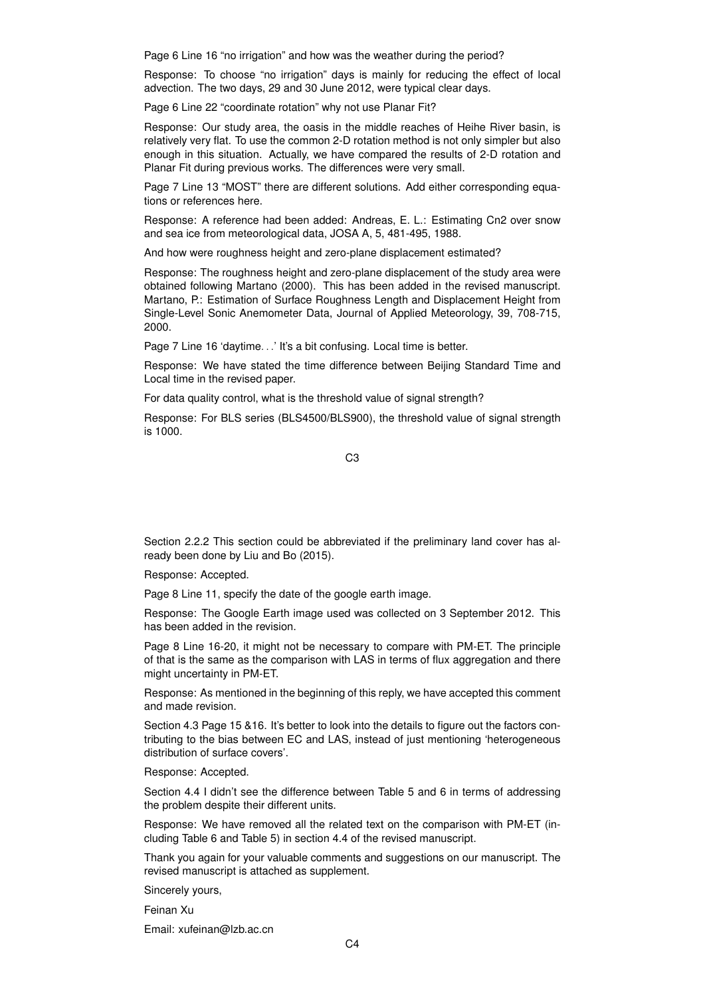Page 6 Line 16 "no irrigation" and how was the weather during the period?

Response: To choose "no irrigation" days is mainly for reducing the effect of local advection. The two days, 29 and 30 June 2012, were typical clear days.

Page 6 Line 22 "coordinate rotation" why not use Planar Fit?

Response: Our study area, the oasis in the middle reaches of Heihe River basin, is relatively very flat. To use the common 2-D rotation method is not only simpler but also enough in this situation. Actually, we have compared the results of 2-D rotation and Planar Fit during previous works. The differences were very small.

Page 7 Line 13 "MOST" there are different solutions. Add either corresponding equations or references here.

Response: A reference had been added: Andreas, E. L.: Estimating Cn2 over snow and sea ice from meteorological data, JOSA A, 5, 481-495, 1988.

And how were roughness height and zero-plane displacement estimated?

Response: The roughness height and zero-plane displacement of the study area were obtained following Martano (2000). This has been added in the revised manuscript. Martano, P.: Estimation of Surface Roughness Length and Displacement Height from Single-Level Sonic Anemometer Data, Journal of Applied Meteorology, 39, 708-715, 2000.

Page 7 Line 16 'daytime...' It's a bit confusing. Local time is better.

Response: We have stated the time difference between Beijing Standard Time and Local time in the revised paper.

For data quality control, what is the threshold value of signal strength?

Response: For BLS series (BLS4500/BLS900), the threshold value of signal strength is 1000.

C3

Section 2.2.2 This section could be abbreviated if the preliminary land cover has already been done by Liu and Bo (2015).

Response: Accepted.

Page 8 Line 11, specify the date of the google earth image.

Response: The Google Earth image used was collected on 3 September 2012. This has been added in the revision.

Page 8 Line 16-20, it might not be necessary to compare with PM-ET. The principle of that is the same as the comparison with LAS in terms of flux aggregation and there might uncertainty in PM-ET.

Response: As mentioned in the beginning of this reply, we have accepted this comment and made revision.

Section 4.3 Page 15 &16. It's better to look into the details to figure out the factors contributing to the bias between EC and LAS, instead of just mentioning 'heterogeneous distribution of surface covers'.

Response: Accepted.

Section 4.4 I didn't see the difference between Table 5 and 6 in terms of addressing the problem despite their different units.

Response: We have removed all the related text on the comparison with PM-ET (including Table 6 and Table 5) in section 4.4 of the revised manuscript.

Thank you again for your valuable comments and suggestions on our manuscript. The revised manuscript is attached as supplement.

Sincerely yours,

Feinan Xu

Email: xufeinan@lzb.ac.cn